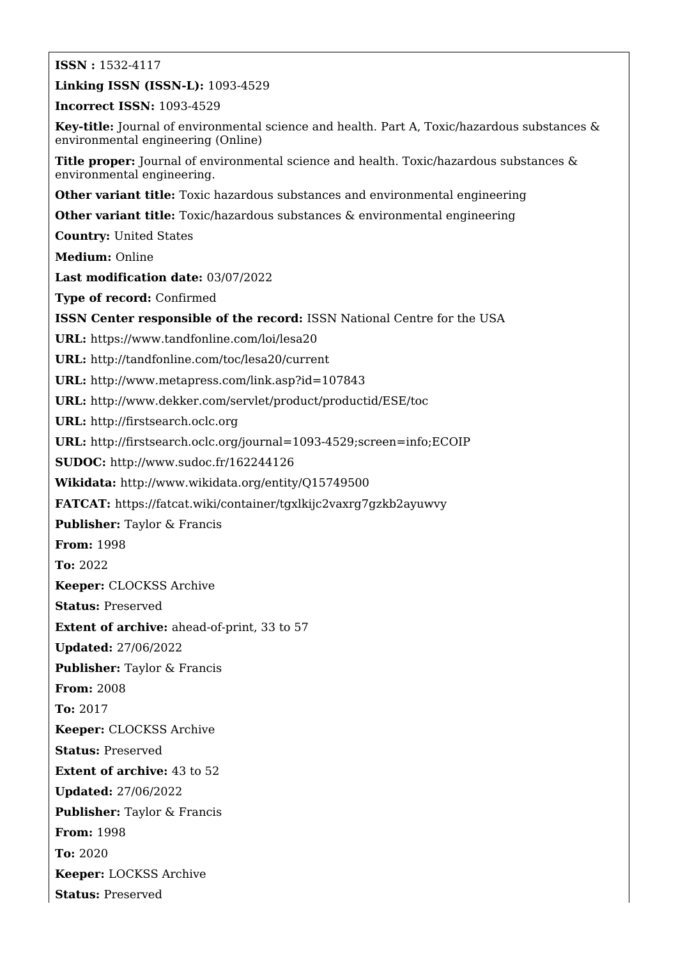**ISSN :** 1532-4117

**Linking ISSN (ISSN-L):** 1093-4529

**Incorrect ISSN:** 1093-4529

**Key-title:** Journal of environmental science and health. Part A, Toxic/hazardous substances & environmental engineering (Online)

**Title proper:** Journal of environmental science and health. Toxic/hazardous substances & environmental engineering.

**Other variant title:** Toxic hazardous substances and environmental engineering

**Other variant title:** Toxic/hazardous substances & environmental engineering

**Country:** United States

**Medium:** Online

**Last modification date:** 03/07/2022

**Type of record:** Confirmed

**ISSN Center responsible of the record:** ISSN National Centre for the USA

**URL:** <https://www.tandfonline.com/loi/lesa20>

**URL:** <http://tandfonline.com/toc/lesa20/current>

**URL:** <http://www.metapress.com/link.asp?id=107843>

**URL:** <http://www.dekker.com/servlet/product/productid/ESE/toc>

**URL:** <http://firstsearch.oclc.org>

**URL:** <http://firstsearch.oclc.org/journal=1093-4529;screen=info;ECOIP>

**SUDOC:** <http://www.sudoc.fr/162244126>

**Wikidata:** <http://www.wikidata.org/entity/Q15749500>

**FATCAT:** <https://fatcat.wiki/container/tgxlkijc2vaxrg7gzkb2ayuwvy>

**Publisher:** Taylor & Francis

**From:** 1998

**To:** 2022

**Keeper:** CLOCKSS Archive

**Status:** Preserved

**Extent of archive:** ahead-of-print, 33 to 57

**Updated:** 27/06/2022

**Publisher:** Taylor & Francis

**From:** 2008

**To:** 2017

**Keeper:** CLOCKSS Archive

**Status:** Preserved

**Extent of archive:** 43 to 52

**Updated:** 27/06/2022

**Publisher:** Taylor & Francis

**From:** 1998

**To:** 2020

**Keeper:** LOCKSS Archive

**Status:** Preserved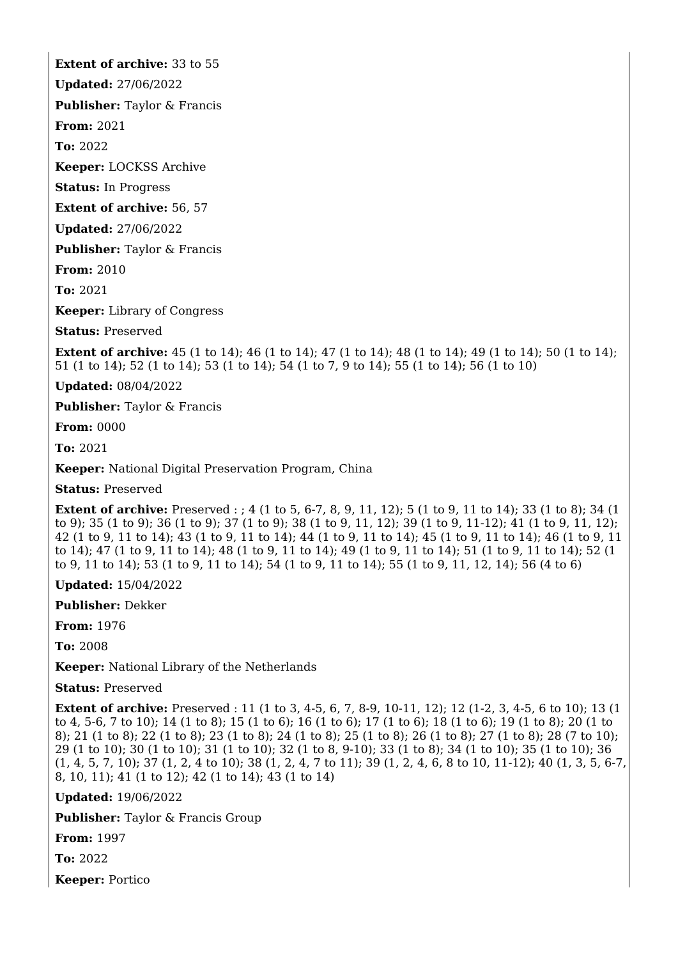**Extent of archive:** 33 to 55

**Updated:** 27/06/2022

**Publisher:** Taylor & Francis

**From:** 2021

**To:** 2022

**Keeper:** LOCKSS Archive

**Status:** In Progress

**Extent of archive:** 56, 57

**Updated:** 27/06/2022

**Publisher:** Taylor & Francis

**From:** 2010

**To:** 2021

**Keeper:** Library of Congress

**Status:** Preserved

**Extent of archive:** 45 (1 to 14); 46 (1 to 14); 47 (1 to 14); 48 (1 to 14); 49 (1 to 14); 50 (1 to 14); 51 (1 to 14); 52 (1 to 14); 53 (1 to 14); 54 (1 to 7, 9 to 14); 55 (1 to 14); 56 (1 to 10)

**Updated:** 08/04/2022

**Publisher:** Taylor & Francis

**From:** 0000

**To:** 2021

**Keeper:** National Digital Preservation Program, China

**Status:** Preserved

**Extent of archive:** Preserved : ; 4 (1 to 5, 6-7, 8, 9, 11, 12); 5 (1 to 9, 11 to 14); 33 (1 to 8); 34 (1) to 9); 35 (1 to 9); 36 (1 to 9); 37 (1 to 9); 38 (1 to 9, 11, 12); 39 (1 to 9, 11-12); 41 (1 to 9, 11, 12); 42 (1 to 9, 11 to 14); 43 (1 to 9, 11 to 14); 44 (1 to 9, 11 to 14); 45 (1 to 9, 11 to 14); 46 (1 to 9, 11 to 14); 47 (1 to 9, 11 to 14); 48 (1 to 9, 11 to 14); 49 (1 to 9, 11 to 14); 51 (1 to 9, 11 to 14); 52 (1 to 9, 11 to 14); 53 (1 to 9, 11 to 14); 54 (1 to 9, 11 to 14); 55 (1 to 9, 11, 12, 14); 56 (4 to 6)

**Updated:** 15/04/2022

**Publisher:** Dekker

**From:** 1976

**To:** 2008

**Keeper:** National Library of the Netherlands

**Status:** Preserved

**Extent of archive:** Preserved : 11 (1 to 3, 4-5, 6, 7, 8-9, 10-11, 12); 12 (1-2, 3, 4-5, 6 to 10); 13 (1 to 4, 5-6, 7 to 10); 14 (1 to 8); 15 (1 to 6); 16 (1 to 6); 17 (1 to 6); 18 (1 to 6); 19 (1 to 8); 20 (1 to 8); 21 (1 to 8); 22 (1 to 8); 23 (1 to 8); 24 (1 to 8); 25 (1 to 8); 26 (1 to 8); 27 (1 to 8); 28 (7 to 10); 29 (1 to 10); 30 (1 to 10); 31 (1 to 10); 32 (1 to 8, 9-10); 33 (1 to 8); 34 (1 to 10); 35 (1 to 10); 36 (1, 4, 5, 7, 10); 37 (1, 2, 4 to 10); 38 (1, 2, 4, 7 to 11); 39 (1, 2, 4, 6, 8 to 10, 11-12); 40 (1, 3, 5, 6-7, 8, 10, 11); 41 (1 to 12); 42 (1 to 14); 43 (1 to 14)

**Updated:** 19/06/2022

**Publisher:** Taylor & Francis Group

**From:** 1997

**To:** 2022

**Keeper:** Portico